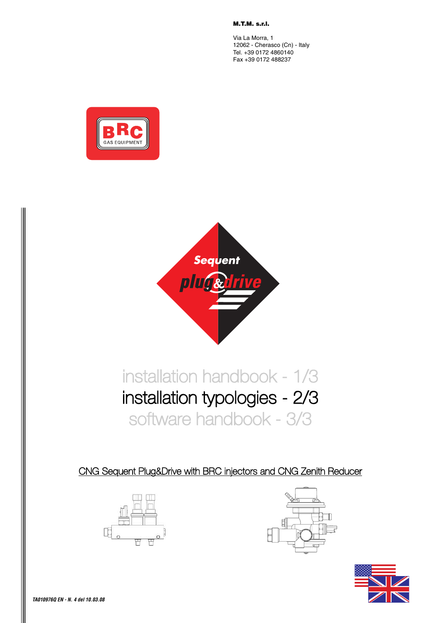**M.T.M. s.r.l.**

Via La Morra, 1 12062 - Cherasco (Cn) - Italy Tel. +39 0172 4860140 Fax +39 0172 488237





# installation handbook - 1/3 installation typologies - 2/3 software handbook - 3/3

CNG Sequent Plug&Drive with BRC injectors and CNG Zenith Reducer





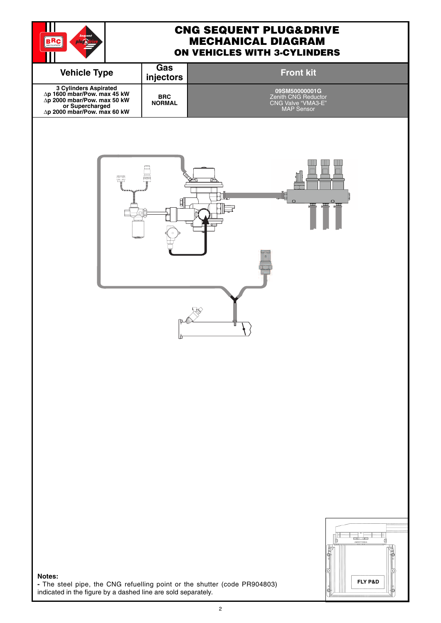

#### **CNG SEQUENT PLUG&DRIVE MECHANICAL DIAGRAM ON VEHICLES WITH 3-CYLINDERS**

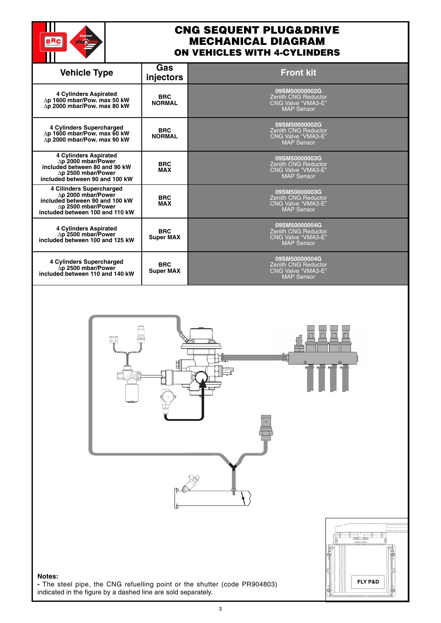

#### **CNG SEQUENT PLUG&DRIVE MECHANICAL DIAGRAM ON VEHICLES WITH 4-CYLINDERS**

| <b>Vehicle Type</b>                                                                                                                               | Gas<br>injectors               | <b>Front kit</b>                                                                              |
|---------------------------------------------------------------------------------------------------------------------------------------------------|--------------------------------|-----------------------------------------------------------------------------------------------|
| <b>4 Cylinders Aspirated</b><br>∆p 1600 mbar/Pow. max 50 kW<br>∆p 2000 mbar/Pow. max 80 kW                                                        | <b>BRC</b><br><b>NORMAL</b>    | 09SM50000002G<br><b>Zenith CNG Reductor</b><br><b>CNG Valve "VMA3-E"</b><br><b>MAP Sensor</b> |
| 4 Cylinders Supercharged<br>∆p 1600 mbar/Pow. max 60 kW<br>∆p 2000 mbar/Pow. max 90 kW                                                            | <b>BRC</b><br><b>NORMAL</b>    | 09SM50000002G<br><b>Zenith CNG Reductor</b><br><b>CNG Valve "VMA3-E"</b><br><b>MAP Sensor</b> |
| 4 Cylinders Aspirated<br>∆p 2000 mbar/Power<br>included between 80 and 90 kW<br>$\Delta$ p 2500 mbar/Power<br>included between 90 and 100 kW      | <b>BRC</b><br><b>MAX</b>       | 09SM50000003G<br><b>Zenith CNG Reductor</b><br><b>CNG Valve "VMA3-E"</b><br><b>MAP Sensor</b> |
| 4 Cilinders Supercharged<br>∆p 2000 mbar/Power<br>included between 90 and 100 kW<br>$\Delta$ p 2500 mbar/Power<br>included between 100 and 110 kW | <b>BRC</b><br><b>MAX</b>       | 09SM50000003G<br><b>Zenith CNG Reductor</b><br>CNG Valve "VMA3-E"<br><b>MAP Sensor</b>        |
| <b>4 Cylinders Aspirated</b><br>∆p 2500 mbar/Power<br>included between 100 and 125 kW                                                             | <b>BRC</b><br><b>Super MAX</b> | 09SM50000004G<br><b>Zenith CNG Reductor</b><br><b>CNG Valve "VMA3-E"</b><br><b>MAP Sensor</b> |
| 4 Cylinders Supercharged<br>∆p 2500 mbar/Power<br>included between 110 and 140 kW                                                                 | <b>BRC</b><br><b>Super MAX</b> | 09SM50000004G<br><b>Zenith CNG Reductor</b><br><b>CNG Valve "VMA3-E"</b><br><b>MAP Sensor</b> |





#### **Notes:**

**-** The steel pipe, the CNG refuelling point or the shutter (code PR904803) indicated in the figure by a dashed line are sold separately.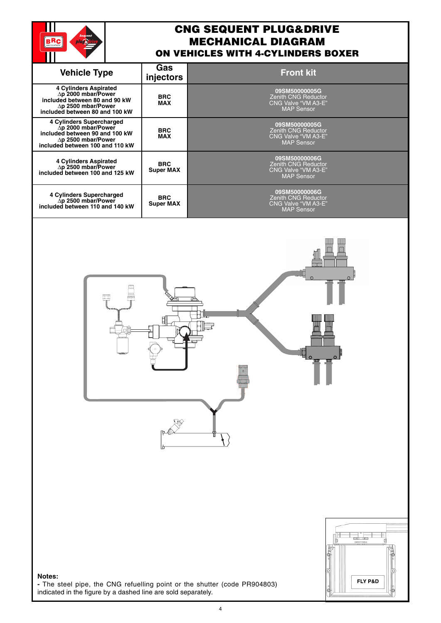

## **CNG SEQUENT PLUG&DRIVE MECHANICAL DIAGRAM ON VEHICLES WITH 4-CYLINDERS BOXER**

旧

| <b>Vehicle Type</b>                                                                                                                                       | Gas<br>injectors               | <b>Front kit</b>                                                                               |
|-----------------------------------------------------------------------------------------------------------------------------------------------------------|--------------------------------|------------------------------------------------------------------------------------------------|
| <b>4 Cylinders Aspirated</b><br>∆p 2000 mbar/Power<br>included between 80 and 90 kW<br>$\Delta p$ 2500 mbar/Power<br>included between 80 and 100 kW       | <b>BRC</b><br><b>MAX</b>       | 09SM50000005G<br><b>Zenith CNG Reductor</b><br><b>CNG Valve "VM A3-E"</b><br><b>MAP Sensor</b> |
| 4 Cylinders Supercharged<br>$\Delta p$ 2000 mbar/Power<br>included between 90 and 100 kW<br>$\Delta p$ 2500 mbar/Power<br>included between 100 and 110 kW | <b>BRC</b><br><b>MAX</b>       | 09SM50000005G<br><b>Zenith CNG Reductor</b><br>CNG Valve "VM A3-E"<br><b>MAP Sensor</b>        |
| <b>4 Cylinders Aspirated</b><br>∆p 2500 mbar/Power<br>included between 100 and 125 kW                                                                     | <b>BRC</b><br><b>Super MAX</b> | 09SM50000006G<br><b>Zenith CNG Reductor</b><br>CNG Valve "VM A3-E"<br><b>MAP Sensor</b>        |
| 4 Cylinders Supercharged<br>∆p 2500 mbar/Power<br>included between 110 and 140 kW                                                                         | <b>BRC</b><br><b>Super MAX</b> | 09SM50000006G<br><b>Zenith CNG Reductor</b><br>CNG Valve "VM A3-E"<br><b>MAP Sensor</b>        |



**-** The steel pipe, the CNG refuelling point or the shutter (code PR904803) indicated in the figure by a dashed line are sold separately.

ess<br>Fff

E

**FLY P&D**

ta "E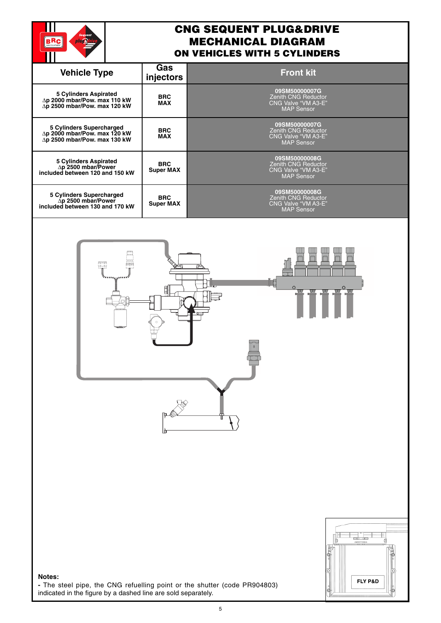

## **CNG SEQUENT PLUG&DRIVE MECHANICAL DIAGRAM ON VEHICLES WITH 5 CYLINDERS**

| <b>Vehicle Type</b>                                                                                  | Gas<br>injectors               | <b>Front kit</b>                                                                        |
|------------------------------------------------------------------------------------------------------|--------------------------------|-----------------------------------------------------------------------------------------|
| <b>5 Cylinders Aspirated</b><br>$\Delta p$ 2000 mbar/Pow. max 110 kW<br>∆p 2500 mbar/Pow. max 120 kW | <b>BRC</b><br><b>MAX</b>       | 09SM50000007G<br><b>Zenith CNG Reductor</b><br>CNG Valve "VM A3-E"<br><b>MAP Sensor</b> |
| 5 Cylinders Supercharged<br>∆p 2000 mbar/Pow. max 120 kW<br>∆p 2500 mbar/Pow. max 130 kW             | <b>BRC</b><br><b>MAX</b>       | 09SM50000007G<br><b>Zenith CNG Reductor</b><br>CNG Valve "VM A3-E"<br><b>MAP Sensor</b> |
| <b>5 Cylinders Aspirated</b><br>∆p 2500 mbar/Power<br>included between 120 and 150 kW                | <b>BRC</b><br><b>Super MAX</b> | 09SM50000008G<br><b>Zenith CNG Reductor</b><br>CNG Valve "VM A3-E"<br><b>MAP Sensor</b> |
| 5 Cylinders Supercharged<br>$\Delta p$ 2500 mbar/Power<br>included between 130 and 170 kW            | <b>BRC</b><br><b>Super MAX</b> | 09SM50000008G<br><b>Zenith CNG Reductor</b><br>CNG Valve "VM A3-E"<br><b>MAP Sensor</b> |
|                                                                                                      |                                |                                                                                         |





**Notes: -** The steel pipe, the CNG refuelling point or the shutter (code PR904803) indicated in the figure by a dashed line are sold separately.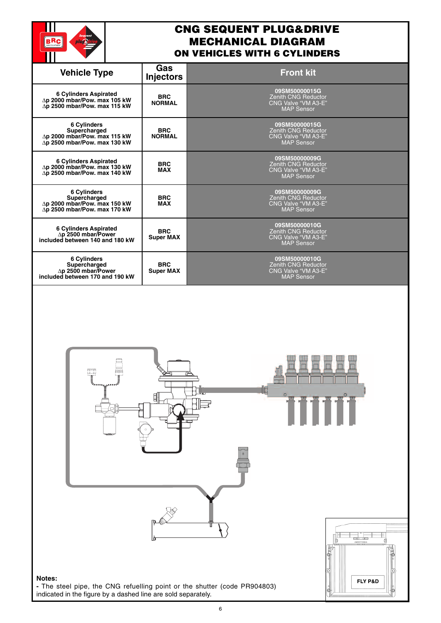

#### **CNG SEQUENT PLUG&DRIVE MECHANICAL DIAGRAM ON VEHICLES WITH 6 CYLINDERS**

|                                                                                                             |                                     | NVENJ                                                                                |
|-------------------------------------------------------------------------------------------------------------|-------------------------------------|--------------------------------------------------------------------------------------|
| <b>Vehicle Type</b>                                                                                         | Gas<br><b>Injectors</b>             | <b>Front kit</b>                                                                     |
| 6 Cylinders Aspirated<br>$\Delta p$ 2000 mbar/Pow. max 105 kW<br>$\Delta p$ 2500 mbar/Pow. max 115 kW       | <b>BRC</b><br><b>NORMAL</b>         | 09SM50000015G<br>Zenith CNG Reductor<br>CNG Valve "VM A3-E"<br><b>MAP Sensor</b>     |
| 6 Cylinders<br>Supercharged<br>$\Delta p$ 2000 mbar/Pow. max 115 kW<br>$\Delta p$ 2500 mbar/Pow. max 130 kW | <b>BRC</b><br><b>NORMAL</b>         | 09SM50000015G<br>Zenith CNG Reductor<br>CNG Valve "VM A3-E"<br><b>MAP Sensor</b>     |
| 6 Cylinders Aspirated $\Delta p$ 2000 mbar/Pow. max 130 kW<br>∆p 2500 mbar/Pow. max 140 kW                  | <b>BRC</b><br><b>MAX</b>            | 09SM50000009G<br>Zenith CNG Reductor<br>CNG Valve "VM A3-E"<br><b>MAP Sensor</b>     |
| 6 Cylinders<br>Supercharged<br>∆p 2000 mbar/Pow. max 150 kW<br>∆p 2500 mbar/Pow. max 170 kW                 | <b>BRC</b><br><b>MAX</b>            | 09SM50000009G<br>Zenith CNG Reductor<br>CNG Valve "VM A3-E"<br><b>MAP</b> Sensor     |
| 6 Cylinders Aspirated<br>△p 2500 mbar/Power<br>included between 140 and 180 kW                              | <b>BRC</b><br><b>Super MAX</b>      | 09SM50000010G<br>Zenith CNG Reductor<br>CNG Valve "VM A3-E"<br><b>MAP Sensor</b>     |
| 6 Cylinders<br>Supercharged<br><b>4p 2500 mbar/Power</b><br>included between 170 and 190 kW                 | <b>BRC</b><br><b>Super MAX</b>      | 09SM50000010G<br>Zenith CNG Reductor<br>CNG Valve "VM A3-E"<br><b>MAP Sensor</b>     |
| Ţ                                                                                                           |                                     |                                                                                      |
| Notes:                                                                                                      | hu a doobad lina are aald aanaratal | FLY P&D<br>- The steel pipe, the CNG refuelling point or the shutter (code PR904803) |

6

indicated in the figure by a dashed line are sold separately.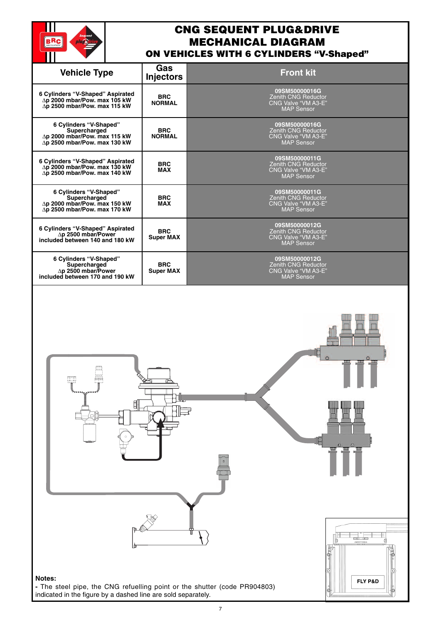

# **CNG SEQUENT PLUG&DRIVE MECHANICAL DIAGRAM ON VEHICLES WITH 6 CYLINDERS "V-Shaped"**

| Gas<br><b>Vehicle Type</b><br><b>Front kit</b><br><b>Injectors</b><br>09SM50000016G                                                                                                                                                     |  |
|-----------------------------------------------------------------------------------------------------------------------------------------------------------------------------------------------------------------------------------------|--|
|                                                                                                                                                                                                                                         |  |
| 6 Cylinders "V-Shaped" Aspirated<br><b>BRC</b><br><b>Zenith CNG Reductor</b><br>$\Delta p$ 2000 mbar/Pow. max 105 kW<br><b>NORMAL</b><br>CNG Valve "VM A3-E"<br>∆p 2500 mbar/Pow. max 115 kW<br><b>MAP Sensor</b>                       |  |
| 6 Cylinders "V-Shaped"<br>09SM50000016G<br><b>BRC</b><br><b>Zenith CNG Reductor</b><br>Supercharged<br>∆p 2000 mbar/Pow. max 115 kW<br><b>CNG Valve "VM A3-E"</b><br><b>NORMAL</b><br>∆p 2500 mbar/Pow. max 130 kW<br><b>MAP Sensor</b> |  |
| 09SM50000011G<br>6 Cylinders "V-Shaped" Aspirated<br><b>BRC</b><br><b>Zenith CNG Reductor</b><br>$\Delta p$ 2000 mbar/Pow. max 130 kW<br><b>MAX</b><br>CNG Valve "VM A3-E"<br>∆p 2500 mbar/Pow. max 140 kW<br><b>MAP Sensor</b>         |  |
| 6 Cylinders "V-Shaped"<br>09SM50000011G<br>Supercharged<br><b>BRC</b><br><b>Zenith CNG Reductor</b><br>∆p 2000 mbar/Pow. max 150 kW<br><b>MAX</b><br>CNG Valve "VM A3-E"<br>$\Delta p$ 2500 mbar/Pow. max 170 kW<br><b>MAP Sensor</b>   |  |
| 09SM50000012G<br>6 Cylinders "V-Shaped" Aspirated<br><b>BRC</b><br><b>Zenith CNG Reductor</b><br>∆p 2500 mbar/Power<br><b>Super MAX</b><br>CNG Valve "VM A3-E"<br>included between 140 and 180 kW<br><b>MAP Sensor</b>                  |  |
| 6 Cylinders "V-Shaped"<br>09SM50000012G<br>Supercharged<br><b>BRC</b><br><b>Zenith CNG Reductor</b><br>∆p 2500 mbar/Power<br>CNG Valve "VM A3-E"<br><b>Super MAX</b><br>included between 170 and 190 kW<br><b>MAP Sensor</b>            |  |
|                                                                                                                                                                                                                                         |  |